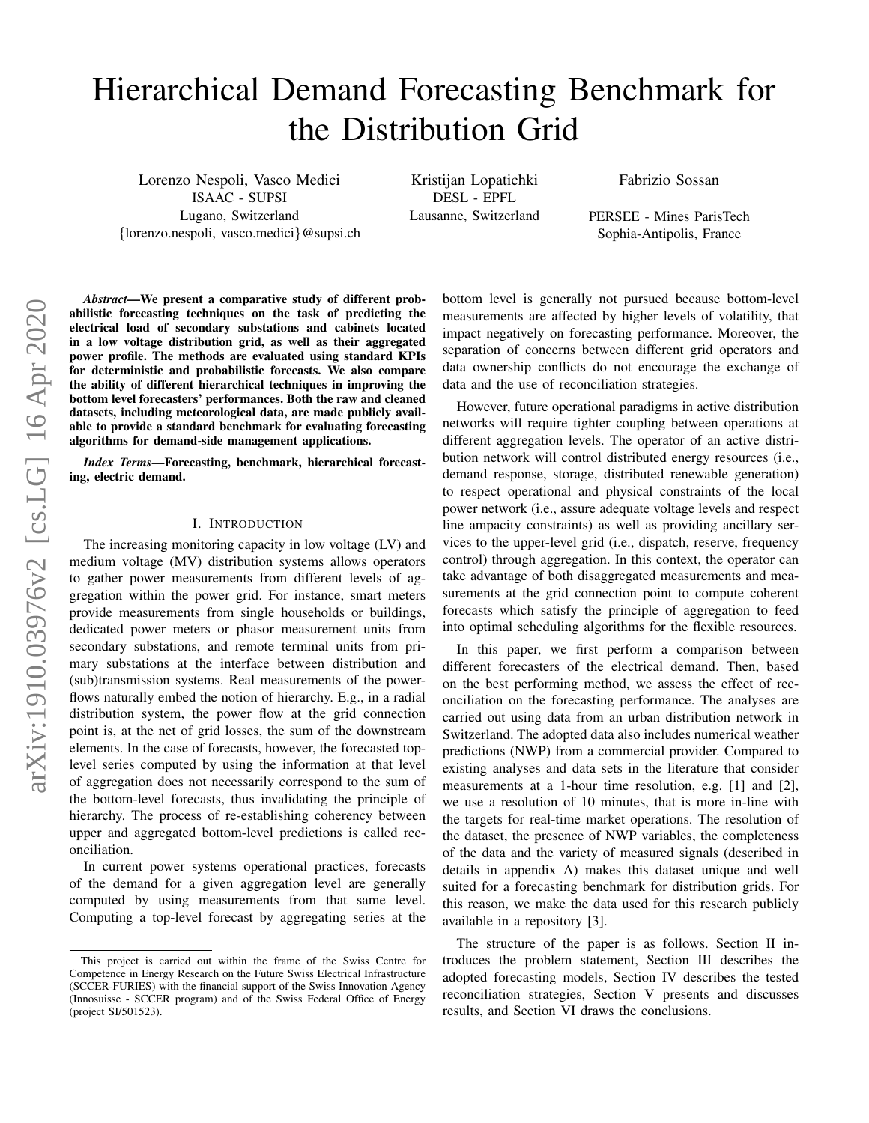# Hierarchical Demand Forecasting Benchmark for the Distribution Grid

Lorenzo Nespoli, Vasco Medici ISAAC - SUPSI Lugano, Switzerland {lorenzo.nespoli, vasco.medici}@supsi.ch

Kristijan Lopatichki DESL - EPFL Lausanne, Switzerland Fabrizio Sossan

PERSEE - Mines ParisTech Sophia-Antipolis, France

*Abstract*—We present a comparative study of different probabilistic forecasting techniques on the task of predicting the electrical load of secondary substations and cabinets located in a low voltage distribution grid, as well as their aggregated power profile. The methods are evaluated using standard KPIs for deterministic and probabilistic forecasts. We also compare the ability of different hierarchical techniques in improving the bottom level forecasters' performances. Both the raw and cleaned datasets, including meteorological data, are made publicly available to provide a standard benchmark for evaluating forecasting algorithms for demand-side management applications.

*Index Terms*—Forecasting, benchmark, hierarchical forecasting, electric demand.

#### I. INTRODUCTION

The increasing monitoring capacity in low voltage (LV) and medium voltage (MV) distribution systems allows operators to gather power measurements from different levels of aggregation within the power grid. For instance, smart meters provide measurements from single households or buildings, dedicated power meters or phasor measurement units from secondary substations, and remote terminal units from primary substations at the interface between distribution and (sub)transmission systems. Real measurements of the powerflows naturally embed the notion of hierarchy. E.g., in a radial distribution system, the power flow at the grid connection point is, at the net of grid losses, the sum of the downstream elements. In the case of forecasts, however, the forecasted toplevel series computed by using the information at that level of aggregation does not necessarily correspond to the sum of the bottom-level forecasts, thus invalidating the principle of hierarchy. The process of re-establishing coherency between upper and aggregated bottom-level predictions is called reconciliation.

In current power systems operational practices, forecasts of the demand for a given aggregation level are generally computed by using measurements from that same level. Computing a top-level forecast by aggregating series at the bottom level is generally not pursued because bottom-level measurements are affected by higher levels of volatility, that impact negatively on forecasting performance. Moreover, the separation of concerns between different grid operators and data ownership conflicts do not encourage the exchange of data and the use of reconciliation strategies.

However, future operational paradigms in active distribution networks will require tighter coupling between operations at different aggregation levels. The operator of an active distribution network will control distributed energy resources (i.e., demand response, storage, distributed renewable generation) to respect operational and physical constraints of the local power network (i.e., assure adequate voltage levels and respect line ampacity constraints) as well as providing ancillary services to the upper-level grid (i.e., dispatch, reserve, frequency control) through aggregation. In this context, the operator can take advantage of both disaggregated measurements and measurements at the grid connection point to compute coherent forecasts which satisfy the principle of aggregation to feed into optimal scheduling algorithms for the flexible resources.

In this paper, we first perform a comparison between different forecasters of the electrical demand. Then, based on the best performing method, we assess the effect of reconciliation on the forecasting performance. The analyses are carried out using data from an urban distribution network in Switzerland. The adopted data also includes numerical weather predictions (NWP) from a commercial provider. Compared to existing analyses and data sets in the literature that consider measurements at a 1-hour time resolution, e.g. [\[1\]](#page-7-0) and [\[2\]](#page-7-1), we use a resolution of 10 minutes, that is more in-line with the targets for real-time market operations. The resolution of the dataset, the presence of NWP variables, the completeness of the data and the variety of measured signals (described in details in appendix [A\)](#page-6-0) makes this dataset unique and well suited for a forecasting benchmark for distribution grids. For this reason, we make the data used for this research publicly available in a repository [\[3\]](#page-7-2).

The structure of the paper is as follows. Section II introduces the problem statement, Section III describes the adopted forecasting models, Section IV describes the tested reconciliation strategies, Section V presents and discusses results, and Section VI draws the conclusions.

This project is carried out within the frame of the Swiss Centre for Competence in Energy Research on the Future Swiss Electrical Infrastructure (SCCER-FURIES) with the financial support of the Swiss Innovation Agency (Innosuisse - SCCER program) and of the Swiss Federal Office of Energy (project SI/501523).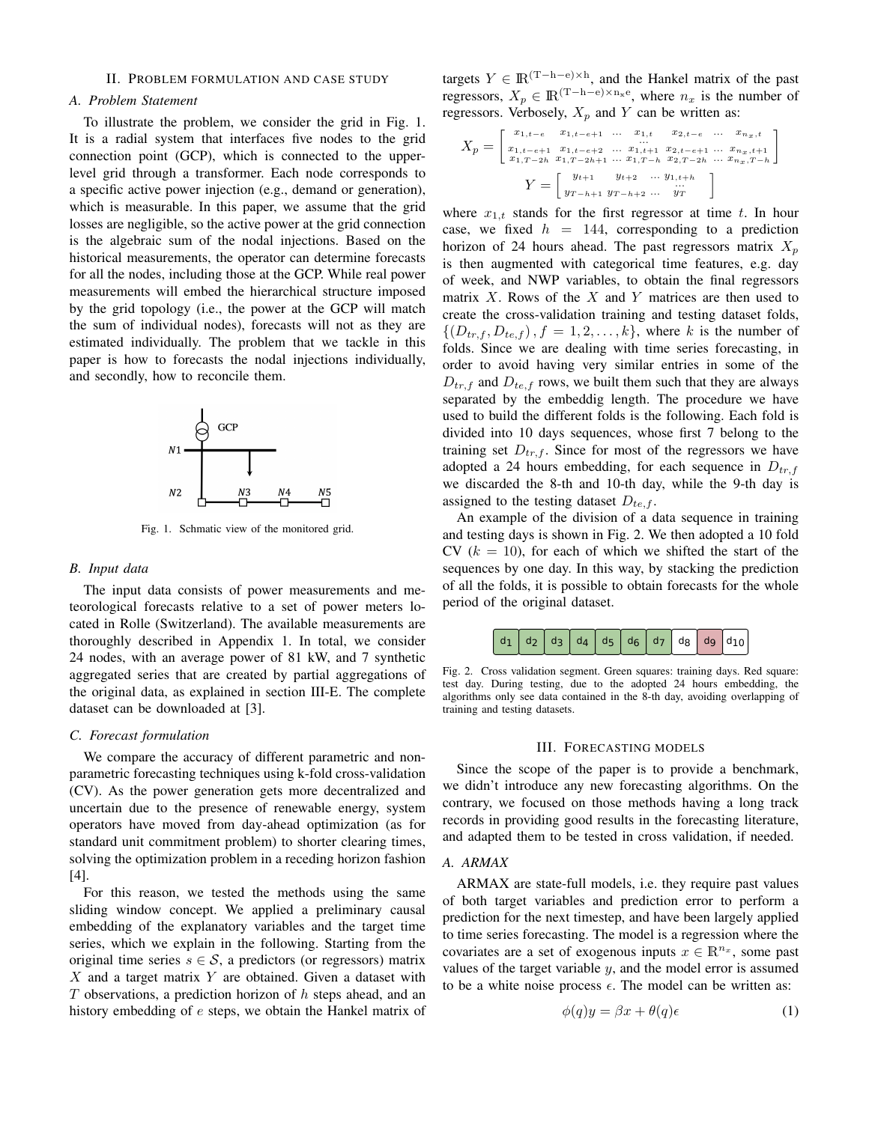## II. PROBLEM FORMULATION AND CASE STUDY

# *A. Problem Statement*

To illustrate the problem, we consider the grid in Fig. 1. It is a radial system that interfaces five nodes to the grid connection point (GCP), which is connected to the upperlevel grid through a transformer. Each node corresponds to a specific active power injection (e.g., demand or generation), which is measurable. In this paper, we assume that the grid losses are negligible, so the active power at the grid connection is the algebraic sum of the nodal injections. Based on the historical measurements, the operator can determine forecasts for all the nodes, including those at the GCP. While real power measurements will embed the hierarchical structure imposed by the grid topology (i.e., the power at the GCP will match the sum of individual nodes), forecasts will not as they are estimated individually. The problem that we tackle in this paper is how to forecasts the nodal injections individually, and secondly, how to reconcile them.



Fig. 1. Schmatic view of the monitored grid.

#### *B. Input data*

The input data consists of power measurements and meteorological forecasts relative to a set of power meters located in Rolle (Switzerland). The available measurements are thoroughly described in Appendix 1. In total, we consider 24 nodes, with an average power of 81 kW, and 7 synthetic aggregated series that are created by partial aggregations of the original data, as explained in section [III-E.](#page-2-0) The complete dataset can be downloaded at [\[3\]](#page-7-2).

#### <span id="page-1-2"></span>*C. Forecast formulation*

We compare the accuracy of different parametric and nonparametric forecasting techniques using k-fold cross-validation (CV). As the power generation gets more decentralized and uncertain due to the presence of renewable energy, system operators have moved from day-ahead optimization (as for standard unit commitment problem) to shorter clearing times, solving the optimization problem in a receding horizon fashion [\[4\]](#page-7-3).

For this reason, we tested the methods using the same sliding window concept. We applied a preliminary causal embedding of the explanatory variables and the target time series, which we explain in the following. Starting from the original time series  $s \in \mathcal{S}$ , a predictors (or regressors) matrix  $X$  and a target matrix Y are obtained. Given a dataset with T observations, a prediction horizon of h steps ahead, and an history embedding of e steps, we obtain the Hankel matrix of

targets  $Y \in \mathbb{R}^{(T-h-e)\times h}$ , and the Hankel matrix of the past regressors,  $X_p \in \mathbb{R}^{(T-h-e)\times n_x}$ , where  $n_x$  is the number of regressors. Verbosely,  $X_p$  and Y can be written as:

$$
X_p = \begin{bmatrix} x_{1,t-e} & x_{1,t-e+1} & \dots & x_{1,t} & x_{2,t-e} & \dots & x_{n_x,t} \\ x_{1,t-e+1} & x_{1,t-e+2} & \dots & x_{1,t+1} & x_{2,t-e+1} & \dots & x_{n_x,t+1} \\ x_{1,T-2h} & x_{1,T-2h+1} & \dots & x_{1,T-h} & x_{2,T-2h} & \dots & x_{n_x,T-h} \end{bmatrix}
$$

$$
Y = \begin{bmatrix} y_{t+1} & y_{t+2} & \dots & y_{1,t+h} \\ y_{T-h+1} & y_{T-h+2} & \dots & y_T \end{bmatrix}
$$

where  $x_{1,t}$  stands for the first regressor at time t. In hour case, we fixed  $h = 144$ , corresponding to a prediction horizon of 24 hours ahead. The past regressors matrix  $X_p$ is then augmented with categorical time features, e.g. day of week, and NWP variables, to obtain the final regressors matrix  $X$ . Rows of the  $X$  and  $Y$  matrices are then used to create the cross-validation training and testing dataset folds,  $\{(D_{tr,f}, D_{te,f}), f = 1, 2, \ldots, k\}$ , where k is the number of folds. Since we are dealing with time series forecasting, in order to avoid having very similar entries in some of the  $D_{tr,f}$  and  $D_{te,f}$  rows, we built them such that they are always separated by the embeddig length. The procedure we have used to build the different folds is the following. Each fold is divided into 10 days sequences, whose first 7 belong to the training set  $D_{tr,f}$ . Since for most of the regressors we have adopted a 24 hours embedding, for each sequence in  $D_{tr,f}$ we discarded the 8-th and 10-th day, while the 9-th day is assigned to the testing dataset  $D_{te,f}$ .

An example of the division of a data sequence in training and testing days is shown in Fig. [2.](#page-1-0) We then adopted a 10 fold CV  $(k = 10)$ , for each of which we shifted the start of the sequences by one day. In this way, by stacking the prediction of all the folds, it is possible to obtain forecasts for the whole period of the original dataset.

<span id="page-1-0"></span>

Fig. 2. Cross validation segment. Green squares: training days. Red square: test day. During testing, due to the adopted 24 hours embedding, the algorithms only see data contained in the 8-th day, avoiding overlapping of training and testing datasets.

#### III. FORECASTING MODELS

<span id="page-1-1"></span>Since the scope of the paper is to provide a benchmark, we didn't introduce any new forecasting algorithms. On the contrary, we focused on those methods having a long track records in providing good results in the forecasting literature, and adapted them to be tested in cross validation, if needed.

## *A. ARMAX*

ARMAX are state-full models, i.e. they require past values of both target variables and prediction error to perform a prediction for the next timestep, and have been largely applied to time series forecasting. The model is a regression where the covariates are a set of exogenous inputs  $x \in \mathbb{R}^{n_x}$ , some past values of the target variable  $y$ , and the model error is assumed to be a white noise process  $\epsilon$ . The model can be written as:

$$
\phi(q)y = \beta x + \theta(q)\epsilon \tag{1}
$$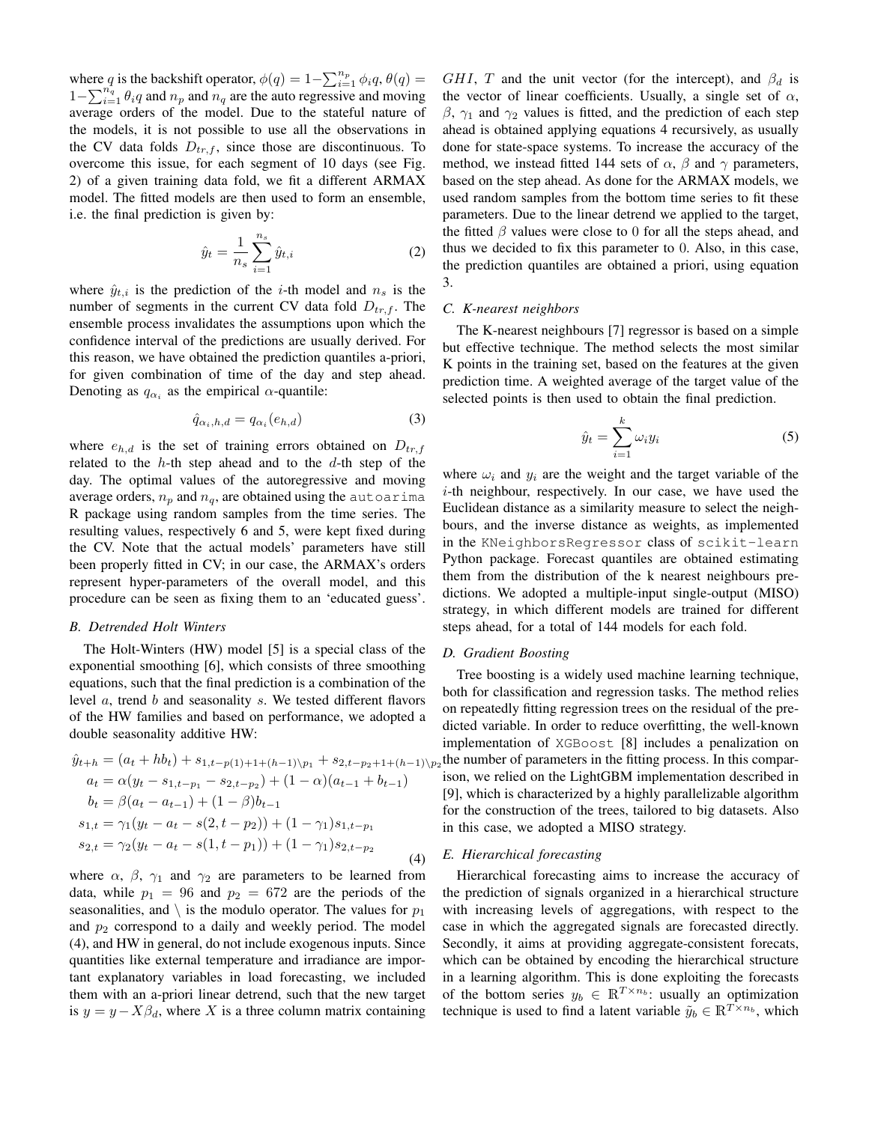where q is the backshift operator,  $\phi(q) = 1 - \sum_{i=1}^{n_p} \phi_i q, \theta(q) =$  $1-\sum_{i=1}^{n_q} \theta_i q$  and  $n_p$  and  $n_q$  are the auto regressive and moving average orders of the model. Due to the stateful nature of the models, it is not possible to use all the observations in the CV data folds  $D_{tr,f}$ , since those are discontinuous. To overcome this issue, for each segment of 10 days (see Fig. [2\)](#page-1-0) of a given training data fold, we fit a different ARMAX model. The fitted models are then used to form an ensemble, i.e. the final prediction is given by:

$$
\hat{y}_t = \frac{1}{n_s} \sum_{i=1}^{n_s} \hat{y}_{t,i}
$$
 (2)

where  $\hat{y}_{t,i}$  is the prediction of the *i*-th model and  $n_s$  is the number of segments in the current CV data fold  $D_{tr,f}$ . The ensemble process invalidates the assumptions upon which the confidence interval of the predictions are usually derived. For this reason, we have obtained the prediction quantiles a-priori, for given combination of time of the day and step ahead. Denoting as  $q_{\alpha_i}$  as the empirical  $\alpha$ -quantile:

$$
\hat{q}_{\alpha_i, h, d} = q_{\alpha_i}(e_{h, d})\tag{3}
$$

where  $e_{h,d}$  is the set of training errors obtained on  $D_{tr,f}$ related to the  $h$ -th step ahead and to the  $d$ -th step of the day. The optimal values of the autoregressive and moving average orders,  $n_p$  and  $n_q$ , are obtained using the autoarima R package using random samples from the time series. The resulting values, respectively 6 and 5, were kept fixed during the CV. Note that the actual models' parameters have still been properly fitted in CV; in our case, the ARMAX's orders represent hyper-parameters of the overall model, and this procedure can be seen as fixing them to an 'educated guess'.

#### *B. Detrended Holt Winters*

The Holt-Winters (HW) model [\[5\]](#page-7-4) is a special class of the exponential smoothing [\[6\]](#page-7-5), which consists of three smoothing equations, such that the final prediction is a combination of the level a, trend b and seasonality s. We tested different flavors of the HW families and based on performance, we adopted a double seasonality additive HW:

$$
\hat{y}_{t+h} = (a_t + hb_t) + s_{1,t-p(1)+1+(h-1)\p_{1}} + s_{2,t-p_2+1+(h-1)\p_{2}}
$$
\n
$$
a_t = \alpha(y_t - s_{1,t-p_1} - s_{2,t-p_2}) + (1 - \alpha)(a_{t-1} + b_{t-1})
$$
\n
$$
b_t = \beta(a_t - a_{t-1}) + (1 - \beta)b_{t-1}
$$
\n
$$
s_{1,t} = \gamma_1(y_t - a_t - s(2, t-p_2)) + (1 - \gamma_1)s_{1,t-p_1}
$$
\n
$$
s_{2,t} = \gamma_2(y_t - a_t - s(1, t-p_1)) + (1 - \gamma_1)s_{2,t-p_2}
$$
\n(4)

where  $\alpha$ ,  $\beta$ ,  $\gamma_1$  and  $\gamma_2$  are parameters to be learned from data, while  $p_1 = 96$  and  $p_2 = 672$  are the periods of the seasonalities, and  $\setminus$  is the modulo operator. The values for  $p_1$ and  $p_2$  correspond to a daily and weekly period. The model [\(4\)](#page-2-1), and HW in general, do not include exogenous inputs. Since quantities like external temperature and irradiance are important explanatory variables in load forecasting, we included them with an a-priori linear detrend, such that the new target is  $y = y - X\beta_d$ , where X is a three column matrix containing GHI, T and the unit vector (for the intercept), and  $\beta_d$  is the vector of linear coefficients. Usually, a single set of  $\alpha$ ,  $β$ ,  $γ$ <sub>1</sub> and  $γ$ <sub>2</sub> values is fitted, and the prediction of each step ahead is obtained applying equations [4](#page-2-1) recursively, as usually done for state-space systems. To increase the accuracy of the method, we instead fitted 144 sets of  $\alpha$ ,  $\beta$  and  $\gamma$  parameters, based on the step ahead. As done for the ARMAX models, we used random samples from the bottom time series to fit these parameters. Due to the linear detrend we applied to the target, the fitted  $\beta$  values were close to 0 for all the steps ahead, and thus we decided to fix this parameter to 0. Also, in this case, the prediction quantiles are obtained a priori, using equation [3.](#page-2-2)

#### *C. K-nearest neighbors*

<span id="page-2-2"></span>The K-nearest neighbours [\[7\]](#page-7-6) regressor is based on a simple but effective technique. The method selects the most similar K points in the training set, based on the features at the given prediction time. A weighted average of the target value of the selected points is then used to obtain the final prediction.

$$
\hat{y}_t = \sum_{i=1}^k \omega_i y_i \tag{5}
$$

where  $\omega_i$  and  $y_i$  are the weight and the target variable of the i-th neighbour, respectively. In our case, we have used the Euclidean distance as a similarity measure to select the neighbours, and the inverse distance as weights, as implemented in the KNeighborsRegressor class of scikit-learn Python package. Forecast quantiles are obtained estimating them from the distribution of the k nearest neighbours predictions. We adopted a multiple-input single-output (MISO) strategy, in which different models are trained for different steps ahead, for a total of 144 models for each fold.

## *D. Gradient Boosting*

<span id="page-2-1"></span>Tree boosting is a widely used machine learning technique, both for classification and regression tasks. The method relies on repeatedly fitting regression trees on the residual of the predicted variable. In order to reduce overfitting, the well-known implementation of XGBoost [\[8\]](#page-7-7) includes a penalization on the number of parameters in the fitting process. In this comparison, we relied on the LightGBM implementation described in [\[9\]](#page-7-8), which is characterized by a highly parallelizable algorithm for the construction of the trees, tailored to big datasets. Also in this case, we adopted a MISO strategy.

#### <span id="page-2-0"></span>*E. Hierarchical forecasting*

Hierarchical forecasting aims to increase the accuracy of the prediction of signals organized in a hierarchical structure with increasing levels of aggregations, with respect to the case in which the aggregated signals are forecasted directly. Secondly, it aims at providing aggregate-consistent forecats, which can be obtained by encoding the hierarchical structure in a learning algorithm. This is done exploiting the forecasts of the bottom series  $y_b \in \mathbb{R}^{T \times n_b}$ : usually an optimization technique is used to find a latent variable  $\tilde{y}_b \in \mathbb{R}^{T \times n_b}$ , which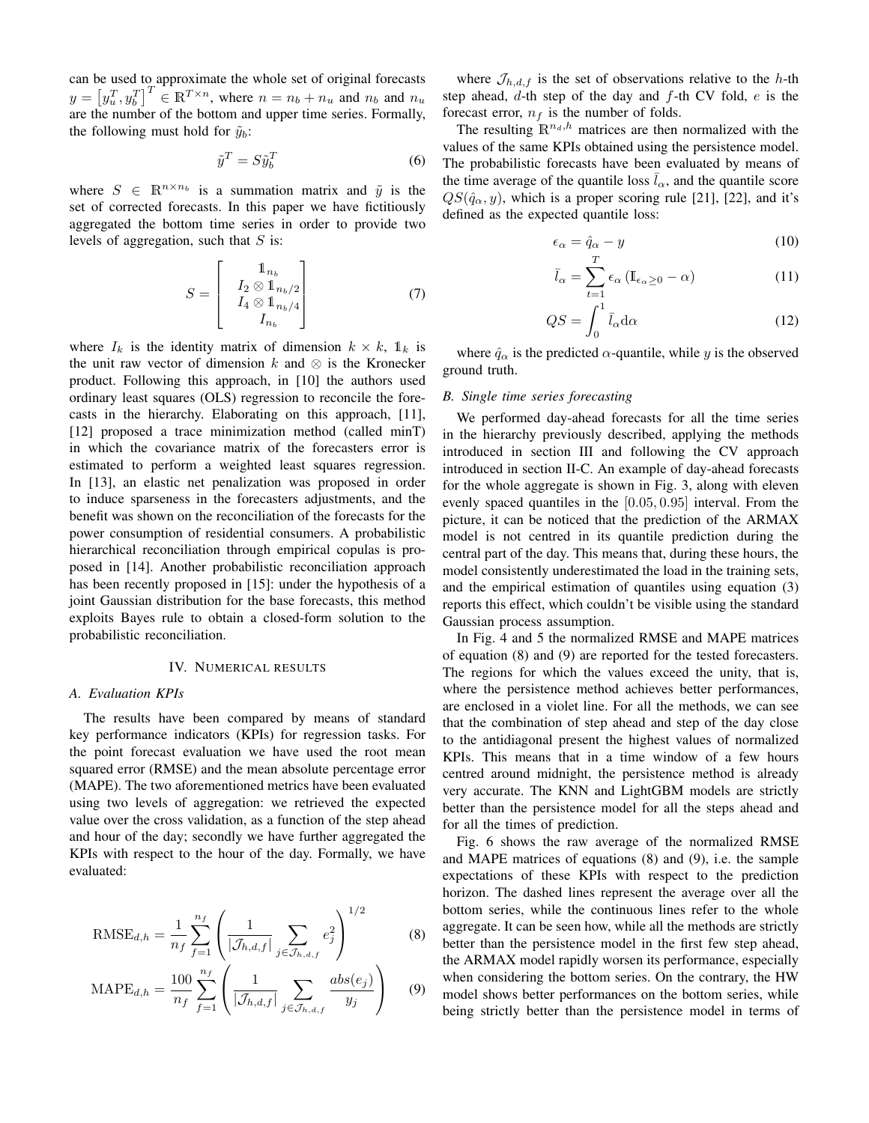can be used to approximate the whole set of original forecasts  $y = \left[y_u^T, y_b^T\right]^T \in \mathbb{R}^{T \times n}$ , where  $n = n_b + n_u$  and  $n_b$  and  $n_u$ are the number of the bottom and upper time series. Formally, the following must hold for  $\tilde{y}_b$ :

$$
\tilde{y}^T = S \tilde{y}_b^T \tag{6}
$$

where  $S \in \mathbb{R}^{n \times n_b}$  is a summation matrix and  $\tilde{y}$  is the set of corrected forecasts. In this paper we have fictitiously aggregated the bottom time series in order to provide two levels of aggregation, such that  $S$  is:

$$
S = \begin{bmatrix} 1_{n_b} \\ I_2 \otimes 1_{n_b/2} \\ I_4 \otimes 1_{n_b/4} \\ I_{n_b} \end{bmatrix}
$$
 (7)

where  $I_k$  is the identity matrix of dimension  $k \times k$ ,  $\mathbb{1}_k$  is the unit raw vector of dimension k and  $\otimes$  is the Kronecker product. Following this approach, in [\[10\]](#page-7-9) the authors used ordinary least squares (OLS) regression to reconcile the forecasts in the hierarchy. Elaborating on this approach, [\[11\]](#page-7-10), [\[12\]](#page-7-11) proposed a trace minimization method (called minT) in which the covariance matrix of the forecasters error is estimated to perform a weighted least squares regression. In [\[13\]](#page-7-12), an elastic net penalization was proposed in order to induce sparseness in the forecasters adjustments, and the benefit was shown on the reconciliation of the forecasts for the power consumption of residential consumers. A probabilistic hierarchical reconciliation through empirical copulas is proposed in [\[14\]](#page-7-13). Another probabilistic reconciliation approach has been recently proposed in [\[15\]](#page-7-14): under the hypothesis of a joint Gaussian distribution for the base forecasts, this method exploits Bayes rule to obtain a closed-form solution to the probabilistic reconciliation.

#### IV. NUMERICAL RESULTS

## *A. Evaluation KPIs*

The results have been compared by means of standard key performance indicators (KPIs) for regression tasks. For the point forecast evaluation we have used the root mean squared error (RMSE) and the mean absolute percentage error (MAPE). The two aforementioned metrics have been evaluated using two levels of aggregation: we retrieved the expected value over the cross validation, as a function of the step ahead and hour of the day; secondly we have further aggregated the KPIs with respect to the hour of the day. Formally, we have evaluated:

RMSE<sub>d,h</sub> = 
$$
\frac{1}{n_f} \sum_{f=1}^{n_f} \left( \frac{1}{|\mathcal{J}_{h,d,f}|} \sum_{j \in \mathcal{J}_{h,d,f}} e_j^2 \right)^{1/2}
$$
 (8)

$$
\text{MAPE}_{d,h} = \frac{100}{n_f} \sum_{f=1}^{n_f} \left( \frac{1}{|\mathcal{J}_{h,d,f}|} \sum_{j \in \mathcal{J}_{h,d,f}} \frac{abs(e_j)}{y_j} \right) \tag{9}
$$

where  $\mathcal{J}_{h,d,f}$  is the set of observations relative to the h-th step ahead,  $d$ -th step of the day and  $f$ -th CV fold,  $e$  is the forecast error,  $n_f$  is the number of folds.

The resulting  $\mathbb{R}^{n_d,h}$  matrices are then normalized with the values of the same KPIs obtained using the persistence model. The probabilistic forecasts have been evaluated by means of the time average of the quantile loss  $\bar{l}_{\alpha}$ , and the quantile score  $QS(\hat{q}_{\alpha}, y)$ , which is a proper scoring rule [\[21\]](#page-7-15), [\[22\]](#page-7-16), and it's defined as the expected quantile loss:

$$
\epsilon_{\alpha} = \hat{q}_{\alpha} - y \tag{10}
$$

$$
\bar{l}_{\alpha} = \sum_{t=1}^{T} \epsilon_{\alpha} (\mathbb{I}_{\epsilon_{\alpha} \ge 0} - \alpha)
$$
 (11)

$$
QS = \int_0^1 \bar{l}_\alpha \mathrm{d}\alpha \tag{12}
$$

where  $\hat{q}_{\alpha}$  is the predicted  $\alpha$ -quantile, while y is the observed ground truth.

## *B. Single time series forecasting*

We performed day-ahead forecasts for all the time series in the hierarchy previously described, applying the methods introduced in section [III](#page-1-1) and following the CV approach introduced in section [II-C.](#page-1-2) An example of day-ahead forecasts for the whole aggregate is shown in Fig. [3,](#page-4-0) along with eleven evenly spaced quantiles in the [0.05, 0.95] interval. From the picture, it can be noticed that the prediction of the ARMAX model is not centred in its quantile prediction during the central part of the day. This means that, during these hours, the model consistently underestimated the load in the training sets, and the empirical estimation of quantiles using equation [\(3\)](#page-2-2) reports this effect, which couldn't be visible using the standard Gaussian process assumption.

In Fig. [4](#page-4-1) and [5](#page-4-2) the normalized RMSE and MAPE matrices of equation [\(8\)](#page-3-0) and [\(9\)](#page-3-1) are reported for the tested forecasters. The regions for which the values exceed the unity, that is, where the persistence method achieves better performances, are enclosed in a violet line. For all the methods, we can see that the combination of step ahead and step of the day close to the antidiagonal present the highest values of normalized KPIs. This means that in a time window of a few hours centred around midnight, the persistence method is already very accurate. The KNN and LightGBM models are strictly better than the persistence model for all the steps ahead and for all the times of prediction.

<span id="page-3-1"></span><span id="page-3-0"></span>Fig. [6](#page-5-0) shows the raw average of the normalized RMSE and MAPE matrices of equations [\(8\)](#page-3-0) and [\(9\)](#page-3-1), i.e. the sample expectations of these KPIs with respect to the prediction horizon. The dashed lines represent the average over all the bottom series, while the continuous lines refer to the whole aggregate. It can be seen how, while all the methods are strictly better than the persistence model in the first few step ahead, the ARMAX model rapidly worsen its performance, especially when considering the bottom series. On the contrary, the HW model shows better performances on the bottom series, while being strictly better than the persistence model in terms of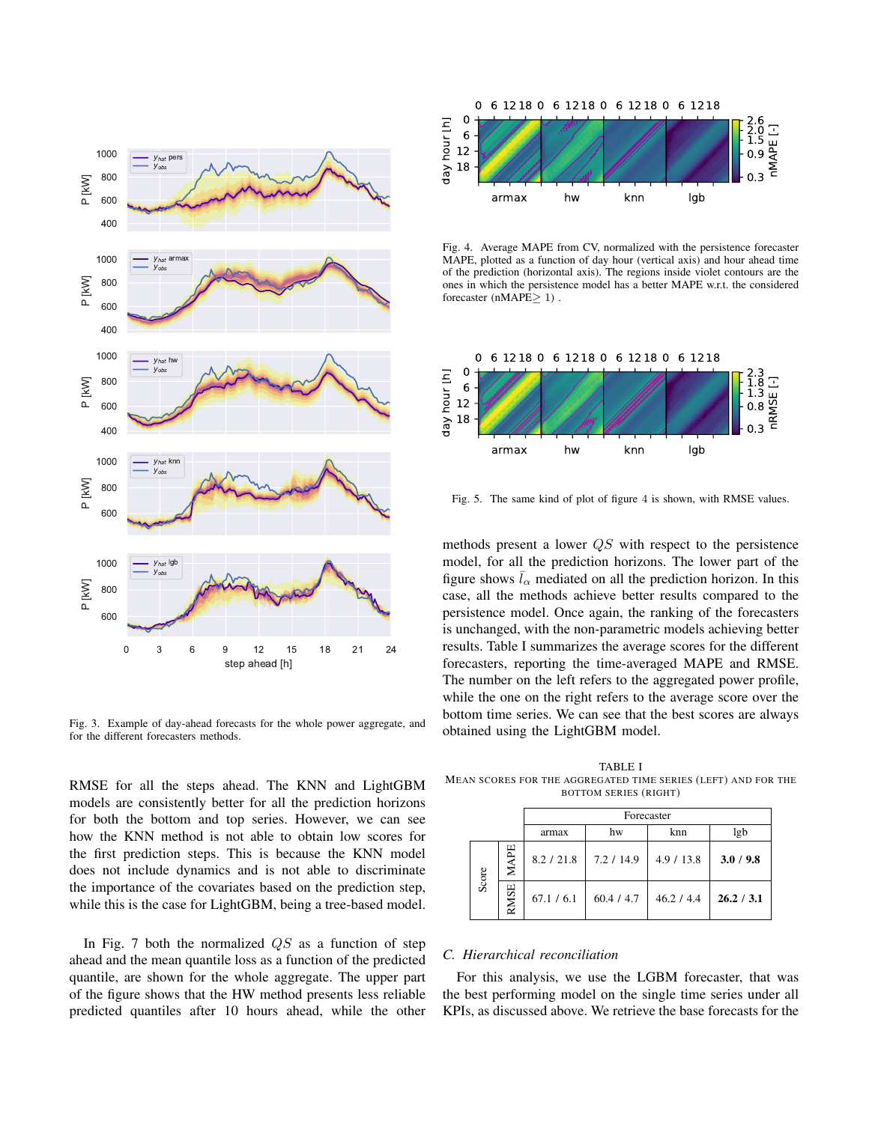

<span id="page-4-0"></span>Fig. 3. Example of day-ahead forecasts for the whole power aggregate, and for the different forecasters methods.

RMSE for all the steps ahead. The KNN and LightGBM models are consistently better for all the prediction horizons for both the bottom and top series. However, we can see how the KNN method is not able to obtain low scores for the first prediction steps. This is because the KNN model does not include dynamics and is not able to discriminate the importance of the covariates based on the prediction step, while this is the case for LightGBM, being a tree-based model.

In Fig. [7](#page-5-1) both the normalized  $QS$  as a function of step ahead and the mean quantile loss as a function of the predicted quantile, are shown for the whole aggregate. The upper part of the figure shows that the HW method presents less reliable predicted quantiles after 10 hours ahead, while the other



<span id="page-4-1"></span>Fig. 4. Average MAPE from CV, normalized with the persistence forecaster MAPE, plotted as a function of day hour (vertical axis) and hour ahead time of the prediction (horizontal axis). The regions inside violet contours are the ones in which the persistence model has a better MAPE w.r.t. the considered forecaster ( $nMAPE \geq 1$ ).



<span id="page-4-2"></span>Fig. 5. The same kind of plot of figure [4](#page-4-1) is shown, with RMSE values.

methods present a lower QS with respect to the persistence model, for all the prediction horizons. The lower part of the figure shows  $\bar{l}_{\alpha}$  mediated on all the prediction horizon. In this case, all the methods achieve better results compared to the persistence model. Once again, the ranking of the forecasters is unchanged, with the non-parametric models achieving better results. Table [I](#page-4-3) summarizes the average scores for the different forecasters, reporting the time-averaged MAPE and RMSE. The number on the left refers to the aggregated power profile, while the one on the right refers to the average score over the bottom time series. We can see that the best scores are always obtained using the LightGBM model.

<span id="page-4-3"></span>TABLE I MEAN SCORES FOR THE AGGREGATED TIME SERIES (LEFT) AND FOR THE BOTTOM SERIES (RIGHT)

|  |       |         | Forecaster |            |            |            |
|--|-------|---------|------------|------------|------------|------------|
|  |       |         | armax      | hw         | knn        | lgb        |
|  | Score | Ę       | 8.2 / 21.8 | 7.2 / 14.9 | 4.9 / 13.8 | 3.0 / 9.8  |
|  |       | SE<br>≈ | 67.1 / 6.1 | 60.4 / 4.7 | 46.2 / 4.4 | 26.2 / 3.1 |

# *C. Hierarchical reconciliation*

For this analysis, we use the LGBM forecaster, that was the best performing model on the single time series under all KPIs, as discussed above. We retrieve the base forecasts for the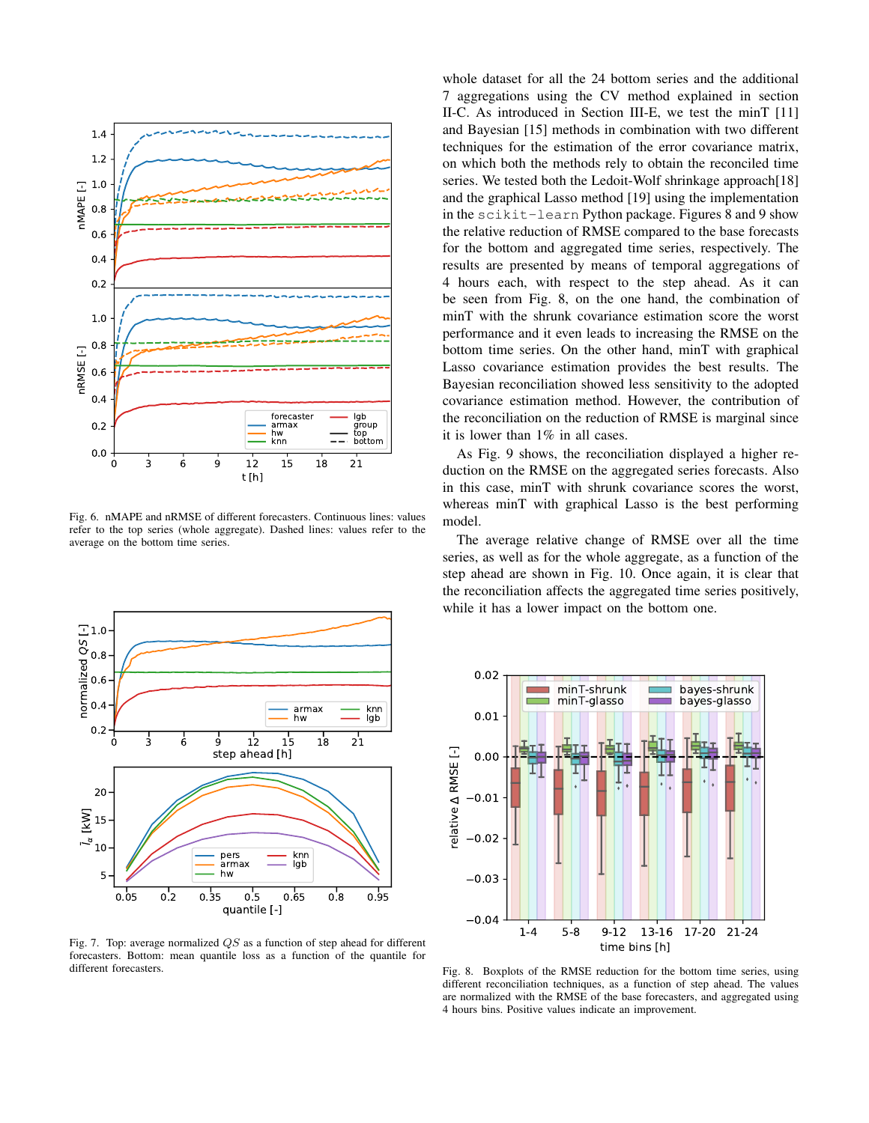

<span id="page-5-0"></span>Fig. 6. nMAPE and nRMSE of different forecasters. Continuous lines: values refer to the top series (whole aggregate). Dashed lines: values refer to the average on the bottom time series.



<span id="page-5-1"></span>Fig. 7. Top: average normalized QS as a function of step ahead for different forecasters. Bottom: mean quantile loss as a function of the quantile for different forecasters.

whole dataset for all the 24 bottom series and the additional 7 aggregations using the CV method explained in section [II-C.](#page-1-2) As introduced in Section [III-E,](#page-2-0) we test the minT [\[11\]](#page-7-10) and Bayesian [\[15\]](#page-7-14) methods in combination with two different techniques for the estimation of the error covariance matrix, on which both the methods rely to obtain the reconciled time series. We tested both the Ledoit-Wolf shrinkage approach[\[18\]](#page-7-17) and the graphical Lasso method [\[19\]](#page-7-18) using the implementation in the scikit-learn Python package. Figures [8](#page-5-2) and [9](#page-6-1) show the relative reduction of RMSE compared to the base forecasts for the bottom and aggregated time series, respectively. The results are presented by means of temporal aggregations of 4 hours each, with respect to the step ahead. As it can be seen from Fig. [8,](#page-5-2) on the one hand, the combination of minT with the shrunk covariance estimation score the worst performance and it even leads to increasing the RMSE on the bottom time series. On the other hand, minT with graphical Lasso covariance estimation provides the best results. The Bayesian reconciliation showed less sensitivity to the adopted covariance estimation method. However, the contribution of the reconciliation on the reduction of RMSE is marginal since it is lower than 1% in all cases.

As Fig. [9](#page-6-1) shows, the reconciliation displayed a higher reduction on the RMSE on the aggregated series forecasts. Also in this case, minT with shrunk covariance scores the worst, whereas minT with graphical Lasso is the best performing model.

The average relative change of RMSE over all the time series, as well as for the whole aggregate, as a function of the step ahead are shown in Fig. [10.](#page-6-2) Once again, it is clear that the reconciliation affects the aggregated time series positively, while it has a lower impact on the bottom one.



<span id="page-5-2"></span>Fig. 8. Boxplots of the RMSE reduction for the bottom time series, using different reconciliation techniques, as a function of step ahead. The values are normalized with the RMSE of the base forecasters, and aggregated using 4 hours bins. Positive values indicate an improvement.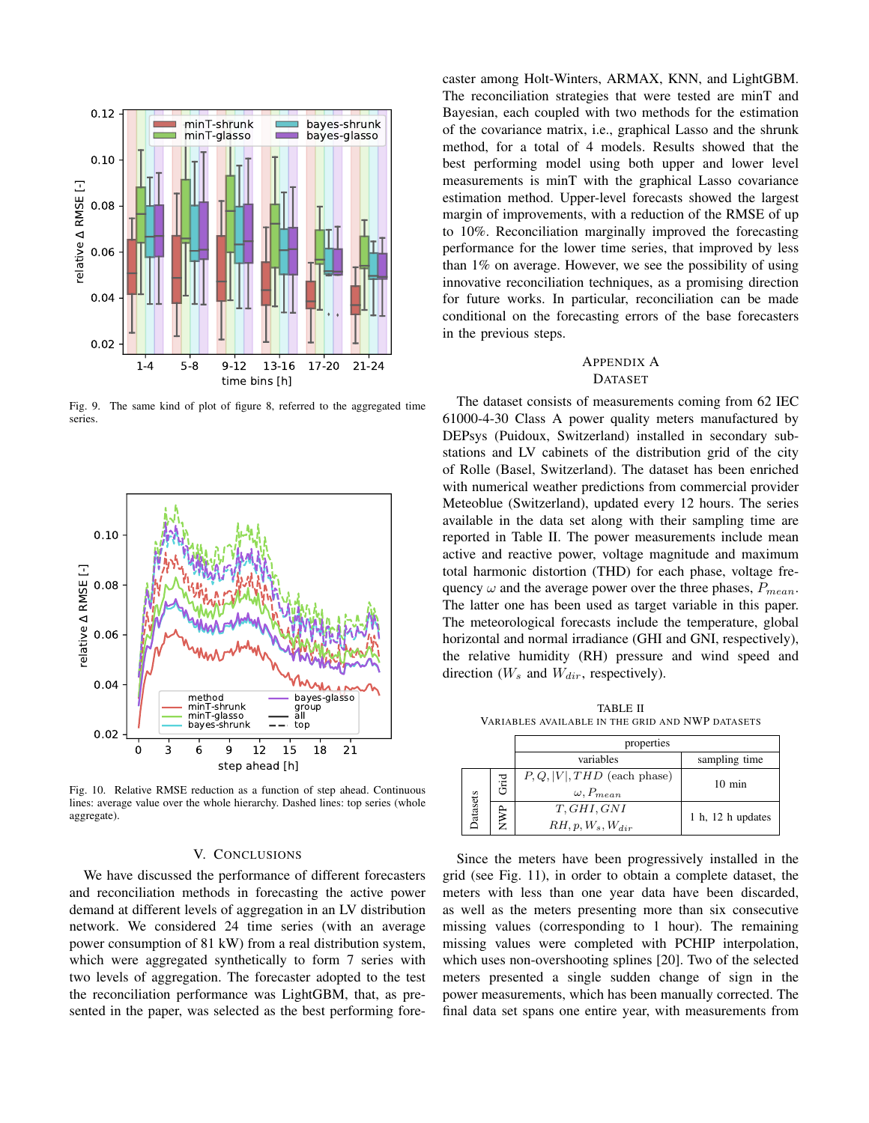

<span id="page-6-1"></span>Fig. 9. The same kind of plot of figure [8,](#page-5-2) referred to the aggregated time series.



<span id="page-6-2"></span>Fig. 10. Relative RMSE reduction as a function of step ahead. Continuous lines: average value over the whole hierarchy. Dashed lines: top series (whole aggregate).

# V. CONCLUSIONS

We have discussed the performance of different forecasters and reconciliation methods in forecasting the active power demand at different levels of aggregation in an LV distribution network. We considered 24 time series (with an average power consumption of 81 kW) from a real distribution system, which were aggregated synthetically to form 7 series with two levels of aggregation. The forecaster adopted to the test the reconciliation performance was LightGBM, that, as presented in the paper, was selected as the best performing forecaster among Holt-Winters, ARMAX, KNN, and LightGBM. The reconciliation strategies that were tested are minT and Bayesian, each coupled with two methods for the estimation of the covariance matrix, i.e., graphical Lasso and the shrunk method, for a total of 4 models. Results showed that the best performing model using both upper and lower level measurements is minT with the graphical Lasso covariance estimation method. Upper-level forecasts showed the largest margin of improvements, with a reduction of the RMSE of up to 10%. Reconciliation marginally improved the forecasting performance for the lower time series, that improved by less than 1% on average. However, we see the possibility of using innovative reconciliation techniques, as a promising direction for future works. In particular, reconciliation can be made conditional on the forecasting errors of the base forecasters in the previous steps.

## <span id="page-6-0"></span>APPENDIX A

## DATASET

The dataset consists of measurements coming from 62 IEC 61000-4-30 Class A power quality meters manufactured by DEPsys (Puidoux, Switzerland) installed in secondary substations and LV cabinets of the distribution grid of the city of Rolle (Basel, Switzerland). The dataset has been enriched with numerical weather predictions from commercial provider Meteoblue (Switzerland), updated every 12 hours. The series available in the data set along with their sampling time are reported in Table [II.](#page-6-3) The power measurements include mean active and reactive power, voltage magnitude and maximum total harmonic distortion (THD) for each phase, voltage frequency  $\omega$  and the average power over the three phases,  $P_{mean}$ . The latter one has been used as target variable in this paper. The meteorological forecasts include the temperature, global horizontal and normal irradiance (GHI and GNI, respectively), the relative humidity (RH) pressure and wind speed and direction  $(W_s$  and  $W_{dir}$ , respectively).

TABLE II VARIABLES AVAILABLE IN THE GRID AND NWP DATASETS

<span id="page-6-3"></span>

|         |  | properties                                             |                   |  |  |  |
|---------|--|--------------------------------------------------------|-------------------|--|--|--|
|         |  | variables                                              | sampling time     |  |  |  |
|         |  | $P, Q,  V , THD$ (each phase)<br>$\omega$ , $P_{mean}$ | $10 \text{ min}$  |  |  |  |
| atasets |  | T, GHI, GNI<br>$RH, p, W_s, W_{dir}$                   | 1 h, 12 h updates |  |  |  |

Since the meters have been progressively installed in the grid (see Fig. [11\)](#page-7-19), in order to obtain a complete dataset, the meters with less than one year data have been discarded, as well as the meters presenting more than six consecutive missing values (corresponding to 1 hour). The remaining missing values were completed with PCHIP interpolation, which uses non-overshooting splines [\[20\]](#page-7-20). Two of the selected meters presented a single sudden change of sign in the power measurements, which has been manually corrected. The final data set spans one entire year, with measurements from